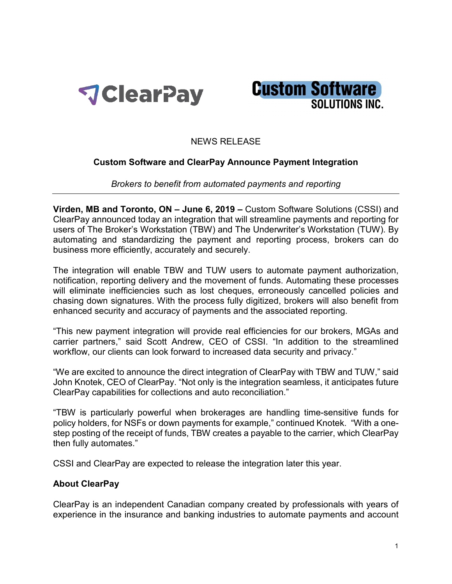



## NEWS RELEASE

## **Custom Software and ClearPay Announce Payment Integration**

*Brokers to benefit from automated payments and reporting*

**Virden, MB and Toronto, ON – June 6, 2019 –** Custom Software Solutions (CSSI) and ClearPay announced today an integration that will streamline payments and reporting for users of The Broker's Workstation (TBW) and The Underwriter's Workstation (TUW). By automating and standardizing the payment and reporting process, brokers can do business more efficiently, accurately and securely.

The integration will enable TBW and TUW users to automate payment authorization, notification, reporting delivery and the movement of funds. Automating these processes will eliminate inefficiencies such as lost cheques, erroneously cancelled policies and chasing down signatures. With the process fully digitized, brokers will also benefit from enhanced security and accuracy of payments and the associated reporting.

"This new payment integration will provide real efficiencies for our brokers, MGAs and carrier partners," said Scott Andrew, CEO of CSSI. "In addition to the streamlined workflow, our clients can look forward to increased data security and privacy."

"We are excited to announce the direct integration of ClearPay with TBW and TUW," said John Knotek, CEO of ClearPay. "Not only is the integration seamless, it anticipates future ClearPay capabilities for collections and auto reconciliation."

"TBW is particularly powerful when brokerages are handling time-sensitive funds for policy holders, for NSFs or down payments for example," continued Knotek. "With a onestep posting of the receipt of funds, TBW creates a payable to the carrier, which ClearPay then fully automates."

CSSI and ClearPay are expected to release the integration later this year.

## **About ClearPay**

ClearPay is an independent Canadian company created by professionals with years of experience in the insurance and banking industries to automate payments and account